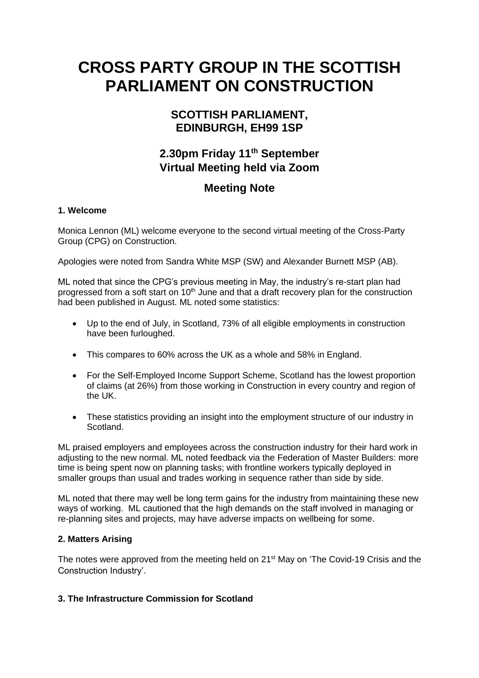# **CROSS PARTY GROUP IN THE SCOTTISH PARLIAMENT ON CONSTRUCTION**

### **SCOTTISH PARLIAMENT, EDINBURGH, EH99 1SP**

# **2.30pm Friday 11th September Virtual Meeting held via Zoom**

## **Meeting Note**

#### **1. Welcome**

Monica Lennon (ML) welcome everyone to the second virtual meeting of the Cross-Party Group (CPG) on Construction.

Apologies were noted from Sandra White MSP (SW) and Alexander Burnett MSP (AB).

ML noted that since the CPG's previous meeting in May, the industry's re-start plan had progressed from a soft start on 10<sup>th</sup> June and that a draft recovery plan for the construction had been published in August. ML noted some statistics:

- Up to the end of July, in Scotland, 73% of all eligible employments in construction have been furloughed.
- This compares to 60% across the UK as a whole and 58% in England.
- For the Self-Employed Income Support Scheme, Scotland has the lowest proportion of claims (at 26%) from those working in Construction in every country and region of the UK.
- These statistics providing an insight into the employment structure of our industry in Scotland.

ML praised employers and employees across the construction industry for their hard work in adjusting to the new normal. ML noted feedback via the Federation of Master Builders: more time is being spent now on planning tasks; with frontline workers typically deployed in smaller groups than usual and trades working in sequence rather than side by side.

ML noted that there may well be long term gains for the industry from maintaining these new ways of working. ML cautioned that the high demands on the staff involved in managing or re-planning sites and projects, may have adverse impacts on wellbeing for some.

#### **2. Matters Arising**

The notes were approved from the meeting held on 21<sup>st</sup> May on 'The Covid-19 Crisis and the Construction Industry'.

#### **3. The Infrastructure Commission for Scotland**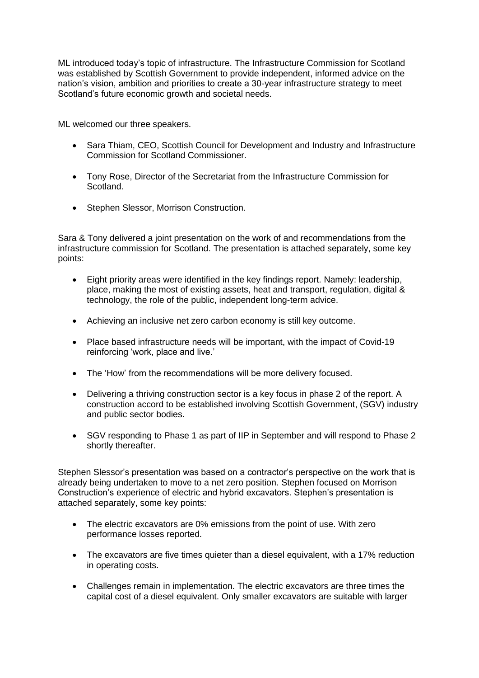ML introduced today's topic of infrastructure. The Infrastructure Commission for Scotland was established by Scottish Government to provide independent, informed advice on the nation's vision, ambition and priorities to create a 30-year infrastructure strategy to meet Scotland's future economic growth and societal needs.

ML welcomed our three speakers.

- Sara Thiam, CEO, Scottish Council for Development and Industry and Infrastructure Commission for Scotland Commissioner.
- Tony Rose, Director of the Secretariat from the Infrastructure Commission for Scotland.
- Stephen Slessor, Morrison Construction.

Sara & Tony delivered a joint presentation on the work of and recommendations from the infrastructure commission for Scotland. The presentation is attached separately, some key points:

- Eight priority areas were identified in the key findings report. Namely: leadership, place, making the most of existing assets, heat and transport, regulation, digital & technology, the role of the public, independent long-term advice.
- Achieving an inclusive net zero carbon economy is still key outcome.
- Place based infrastructure needs will be important, with the impact of Covid-19 reinforcing 'work, place and live.'
- The 'How' from the recommendations will be more delivery focused.
- Delivering a thriving construction sector is a key focus in phase 2 of the report. A construction accord to be established involving Scottish Government, (SGV) industry and public sector bodies.
- SGV responding to Phase 1 as part of IIP in September and will respond to Phase 2 shortly thereafter.

Stephen Slessor's presentation was based on a contractor's perspective on the work that is already being undertaken to move to a net zero position. Stephen focused on Morrison Construction's experience of electric and hybrid excavators. Stephen's presentation is attached separately, some key points:

- The electric excavators are 0% emissions from the point of use. With zero performance losses reported.
- The excavators are five times quieter than a diesel equivalent, with a 17% reduction in operating costs.
- Challenges remain in implementation. The electric excavators are three times the capital cost of a diesel equivalent. Only smaller excavators are suitable with larger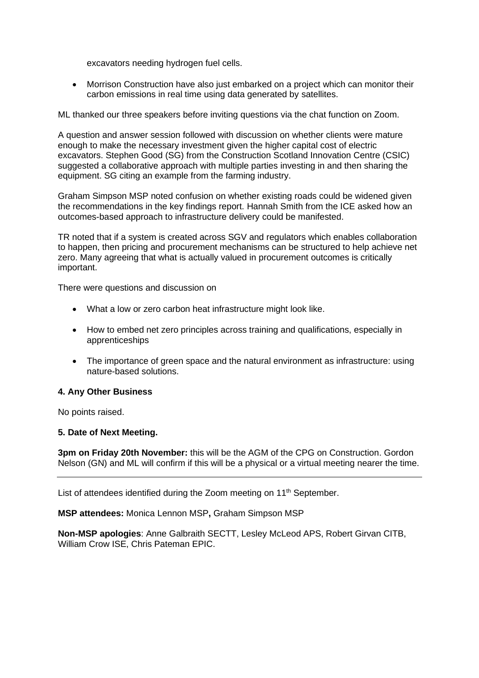excavators needing hydrogen fuel cells.

• Morrison Construction have also just embarked on a project which can monitor their carbon emissions in real time using data generated by satellites.

ML thanked our three speakers before inviting questions via the chat function on Zoom.

A question and answer session followed with discussion on whether clients were mature enough to make the necessary investment given the higher capital cost of electric excavators. Stephen Good (SG) from the Construction Scotland Innovation Centre (CSIC) suggested a collaborative approach with multiple parties investing in and then sharing the equipment. SG citing an example from the farming industry.

Graham Simpson MSP noted confusion on whether existing roads could be widened given the recommendations in the key findings report. Hannah Smith from the ICE asked how an outcomes-based approach to infrastructure delivery could be manifested.

TR noted that if a system is created across SGV and regulators which enables collaboration to happen, then pricing and procurement mechanisms can be structured to help achieve net zero. Many agreeing that what is actually valued in procurement outcomes is critically important.

There were questions and discussion on

- What a low or zero carbon heat infrastructure might look like.
- How to embed net zero principles across training and qualifications, especially in apprenticeships
- The importance of green space and the natural environment as infrastructure: using nature-based solutions.

#### **4. Any Other Business**

No points raised.

#### **5. Date of Next Meeting.**

**3pm on Friday 20th November:** this will be the AGM of the CPG on Construction. Gordon Nelson (GN) and ML will confirm if this will be a physical or a virtual meeting nearer the time.

List of attendees identified during the Zoom meeting on 11<sup>th</sup> September.

**MSP attendees:** Monica Lennon MSP**,** Graham Simpson MSP

**Non-MSP apologies**: Anne Galbraith SECTT, Lesley McLeod APS, Robert Girvan CITB, William Crow ISE, Chris Pateman EPIC.